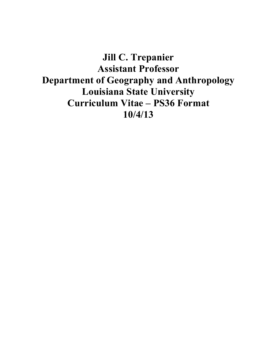**Jill C. Trepanier Assistant Professor Department of Geography and Anthropology Louisiana State University Curriculum Vitae – PS36 Format 10/4/13**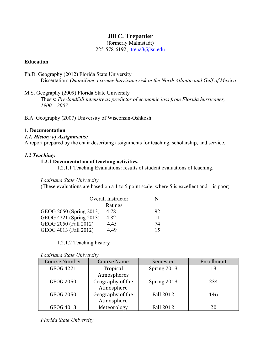# **Jill C. Trepanier**

(formerly Malmstadt)

225-578-6192; jtrepa3@lsu.edu

## **Education**

- Ph.D. Geography (2012) Florida State University Dissertation: *Quantifying extreme hurricane risk in the North Atlantic and Gulf of Mexico*
- M.S. Geography (2009) Florida State University

Thesis: *Pre-landfall intensity as predictor of economic loss from Florida hurricanes, 1900 – 2007*

B.A. Geography (2007) University of Wisconsin-Oshkosh

### **1. Documentation**

### *1.1. History of Assignments:*

A report prepared by the chair describing assignments for teaching, scholarship, and service.

# *1.2 Teaching:*

### **1.2.1 Documentation of teaching activities.**

1.2.1.1 Teaching Evaluations: results of student evaluations of teaching.

### *Louisiana State University*

(These evaluations are based on a 1 to 5 point scale, where 5 is excellent and 1 is poor)

| Overall Instructor      |         | N  |
|-------------------------|---------|----|
|                         | Ratings |    |
| GEOG 2050 (Spring 2013) | 4.78    | 92 |
| GEOG 4221 (Spring 2013) | 4.82    | 11 |
| GEOG 2050 (Fall 2012)   | 4.45    | 74 |
| GEOG 4013 (Fall 2012)   | 4 49    | 15 |

1.2.1.2 Teaching history

|  |  | Louisiana State University |
|--|--|----------------------------|
|--|--|----------------------------|

| Course Number    | <b>Course Name</b>             | Semester         | Enrollment |
|------------------|--------------------------------|------------------|------------|
| <b>GEOG 4221</b> | Tropical                       | Spring 2013      | 13         |
|                  | Atmospheres                    |                  |            |
| <b>GEOG 2050</b> | Geography of the<br>Atmosphere | Spring 2013      | 234        |
| <b>GEOG 2050</b> | Geography of the<br>Atmosphere | <b>Fall 2012</b> | 146        |
| GEOG 4013        | Meteorology                    | <b>Fall 2012</b> |            |

*Florida State University*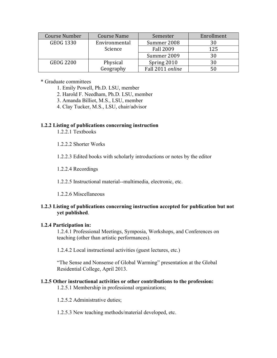| Course Number    | <b>Course Name</b> | Semester         | Enrollment |
|------------------|--------------------|------------------|------------|
| <b>GEOG 1330</b> | Environmental      | Summer 2008      |            |
|                  | Science            | <b>Fall 2009</b> | 125        |
|                  |                    | Summer 2009      | 30         |
| <b>GEOG 2200</b> | Physical           | Spring 2010      |            |
|                  | Geography          | Fall 2011 online |            |

\* Graduate committees

- 1. Emily Powell, Ph.D. LSU, member
- 2. Harold F. Needham, Ph.D. LSU, member
- 3. Amanda Billiot, M.S., LSU, member
- 4. Clay Tucker, M.S., LSU, chair/advisor

### **1.2.2 Listing of publications concerning instruction**

- 1.2.2.1 Textbooks
- 1.2.2.2 Shorter Works
- 1.2.2.3 Edited books with scholarly introductions or notes by the editor
- 1.2.2.4 Recordings
- 1.2.2.5 Instructional material--multimedia, electronic, etc.
- 1.2.2.6 Miscellaneous

# **1.2.3 Listing of publications concerning instruction accepted for publication but not yet published**.

#### **1.2.4 Participation in:**

1.2.4.1 Professional Meetings, Symposia, Workshops, and Conferences on teaching (other than artistic performances).

1.2.4.2 Local instructional activities (guest lectures, etc.)

"The Sense and Nonsense of Global Warming" presentation at the Global Residential College, April 2013.

#### **1.2.5 Other instructional activities or other contributions to the profession:**

1.2.5.1 Membership in professional organizations;

1.2.5.2 Administrative duties;

1.2.5.3 New teaching methods/material developed, etc.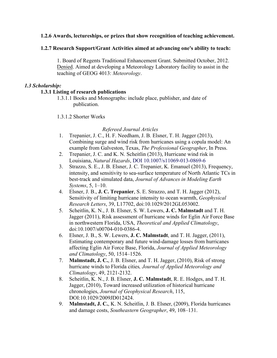### **1.2.6 Awards, lectureships, or prizes that show recognition of teaching achievement.**

### **1.2.7 Research Support/Grant Activities aimed at advancing one's ability to teach:**

1. Board of Regents Traditional Enhancement Grant. Submitted October, 2012. Denied. Aimed at developing a Meteorology Laboratory facility to assist in the teaching of GEOG 4013: *Meteorology*.

### *1.3 Scholarship:*

## **1.3.1 Listing of research publications**

- 1.3.1.1 Books and Monographs: include place, publisher, and date of publication.
- 1.3.1.2 Shorter Works

### *Refereed Journal Articles*

- 1. Trepanier, J. C., H. F. Needham, J. B. Elsner, T. H. Jagger (2013), Combining surge and wind risk from hurricanes using a copula model: An example from Galveston, Texas, *The Professional Geographer*, In Press.
- 2. Trepanier, J. C. and K. N. Scheitlin (2013), Hurricane wind risk in Louisiana, *Natural Hazards*, DOI 10.1007/s11069-013-0869-6
- 3. Strazzo, S. E., J. B. Elsner, J. C. Trepanier, K. Emanuel (2013), Frequency, intensity, and sensitivity to sea-surface temperature of North Atlantic TCs in best-track and simulated data, *Journal of Advances in Modeling Earth Systems*, 5, 1–10.
- 4. Elsner, J. B., **J. C. Trepanier**, S. E. Strazzo, and T. H. Jagger (2012), Sensitivity of limiting hurricane intensity to ocean warmth, *Geophysical Research Letters*, 39, L17702, doi:10.1029/2012GL053002.
- 5. Scheitlin, K. N., J. B. Elsner, S. W. Lewers, **J. C. Malmstadt** and T. H. Jagger (2011), Risk assessment of hurricane winds for Eglin Air Force Base in northwestern Florida, USA, *Theoretical and Applied Climatology*, doi:10.1007/s00704-010-0386-4.
- 6. Elsner, J. B., S. W. Lewers, **J. C. Malmstadt**, and T. H. Jagger, (2011), Estimating contemporary and future wind-damage losses from hurricanes affecting Eglin Air Force Base, Florida, *Journal of Applied Meteorology and Climatology*, 50, 1514–1526.
- 7. **Malmstadt, J. C.**, J. B. Elsner, and T. H. Jagger, (2010), Risk of strong hurricane winds to Florida cities*, Journal of Applied Meteorology and Climatology*, 49, 2121-2132.
- 8. Scheitlin, K. N., J. B. Elsner, **J. C. Malmstadt**, R. E. Hodges, and T. H. Jagger, (2010), Toward increased utilization of historical hurricane chronologies, *Journal of Geophysical Research*, 115, DOI:10.1029/2009JD012424.
- 9. **Malmstadt, J. C.**, K. N. Scheitlin, J. B. Elsner, (2009), Florida hurricanes and damage costs, *Southeastern Geographer*, 49, 108–131.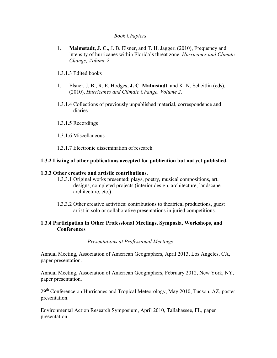#### *Book Chapters*

- 1. **Malmstadt, J. C.**, J. B. Elsner, and T. H. Jagger, (2010), Frequency and intensity of hurricanes within Florida's threat zone. *Hurricanes and Climate Change, Volume 2.*
- 1.3.1.3 Edited books
- 1. Elsner, J. B., R. E. Hodges, **J. C. Malmstadt**, and K. N. Scheitlin (eds), (2010), *Hurricanes and Climate Change, Volume 2*.
- 1.3.1.4 Collections of previously unpublished material, correspondence and diaries
- 1.3.1.5 Recordings
- 1.3.1.6 Miscellaneous
- 1.3.1.7 Electronic dissemination of research.

#### **1.3.2 Listing of other publications accepted for publication but not yet published.**

#### **1.3.3 Other creative and artistic contributions**.

- 1.3.3.1 Original works presented: plays, poetry, musical compositions, art, designs, completed projects (interior design, architecture, landscape architecture, etc.)
- 1.3.3.2 Other creative activities: contributions to theatrical productions, guest artist in solo or collaborative presentations in juried competitions.

#### **1.3.4 Participation in Other Professional Meetings, Symposia, Workshops, and Conferences**

#### *Presentations at Professional Meetings*

Annual Meeting, Association of American Geographers, April 2013, Los Angeles, CA, paper presentation.

Annual Meeting, Association of American Geographers, February 2012, New York, NY, paper presentation.

29<sup>th</sup> Conference on Hurricanes and Tropical Meteorology, May 2010, Tucson, AZ, poster presentation.

Environmental Action Research Symposium, April 2010, Tallahassee, FL, paper presentation.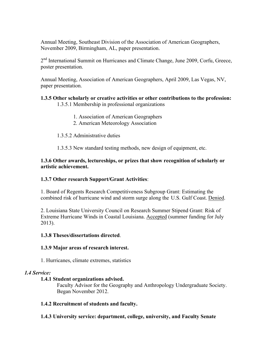Annual Meeting, Southeast Division of the Association of American Geographers, November 2009, Birmingham, AL, paper presentation.

2<sup>nd</sup> International Summit on Hurricanes and Climate Change, June 2009, Corfu, Greece, poster presentation.

Annual Meeting, Association of American Geographers, April 2009, Las Vegas, NV, paper presentation.

# **1.3.5 Other scholarly or creative activities or other contributions to the profession:**

- 1.3.5.1 Membership in professional organizations
	- 1. Association of American Geographers
	- 2. American Meteorology Association
- 1.3.5.2 Administrative duties
- 1.3.5.3 New standard testing methods, new design of equipment, etc.

# **1.3.6 Other awards, lectureships, or prizes that show recognition of scholarly or artistic achievement.**

# **1.3.7 Other research Support/Grant Activities**:

1. Board of Regents Research Competitiveness Subgroup Grant: Estimating the combined risk of hurricane wind and storm surge along the U.S. Gulf Coast. Denied.

2. Louisiana State University Council on Research Summer Stipend Grant: Risk of Extreme Hurricane Winds in Coastal Louisiana. Accepted (summer funding for July 2013).

# **1.3.8 Theses/dissertations directed**.

# **1.3.9 Major areas of research interest.**

1. Hurricanes, climate extremes, statistics

# *1.4 Service:*

# **1.4.1 Student organizations advised.**

Faculty Advisor for the Geography and Anthropology Undergraduate Society. Began November 2012.

# **1.4.2 Recruitment of students and faculty.**

# **1.4.3 University service: department, college, university, and Faculty Senate**